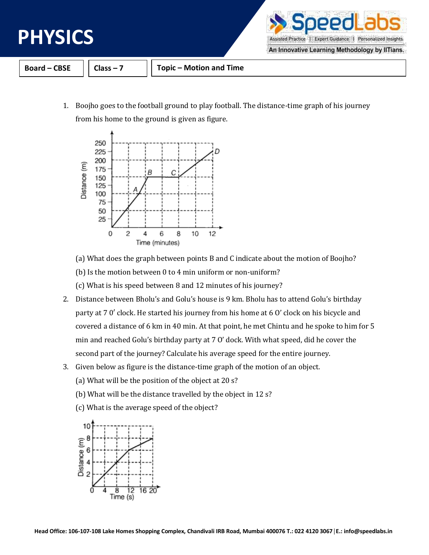

**Board – CBSE Class – 7 Topic – Motion and Time**

1. Boojho goes to the football ground to play football. The distance-time graph of his journey from his home to the ground is given as figure.

Personalized Insights

Assisted Practice | Expert Guidance |

An Innovative Learning Methodology by IITians.



- (a) What does the graph between points B and C indicate about the motion of Boojho?
- (b) Is the motion between 0 to 4 min uniform or non-uniform?

(c) What is his speed between 8 and 12 minutes of his journey?

- 2. Distance between Bholu's and Golu's house is 9 km. Bholu has to attend Golu's birthday party at 7 0′ clock. He started his journey from his home at 6 O' clock on his bicycle and covered a distance of 6 km in 40 min. At that point, he met Chintu and he spoke to him for 5 min and reached Golu's birthday party at 7 O' dock. With what speed, did he cover the second part of the journey? Calculate his average speed for the entire journey.
- 3. Given below as figure is the distance-time graph of the motion of an object.
	- (a) What will be the position of the object at 20 s?
	- (b) What will be the distance travelled by the object in 12 s?
	- (c) What is the average speed of the object?



**Head Office: 106-107-108 Lake Homes Shopping Complex, Chandivali IRB Road, Mumbai 400076 T.: 022 4120 3067**│**E.: info@speedlabs.in**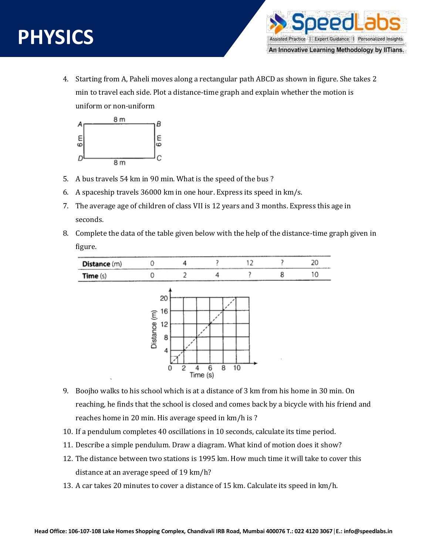## **PHYSICS**

4. Starting from A, Paheli moves along a rectangular path ABCD as shown in figure. She takes 2 min to travel each side. Plot a distance-time graph and explain whether the motion is uniform or non-uniform



- 5. A bus travels 54 km in 90 min. What is the speed of the bus ?
- 6. A spaceship travels 36000 km in one hour. Express its speed in km/s.
- 7. The average age of children of class VII is 12 years and 3 months. Express this age in seconds.
- 8. Complete the data of the table given below with the help of the distance-time graph given in figure.



- 9. Boojho walks to his school which is at a distance of 3 km from his home in 30 min. On reaching, he finds that the school is closed and comes back by a bicycle with his friend and reaches home in 20 min. His average speed in km/h is ?
- 10. If a pendulum completes 40 oscillations in 10 seconds, calculate its time period.
- 11. Describe a simple pendulum. Draw a diagram. What kind of motion does it show?
- 12. The distance between two stations is 1995 km. How much time it will take to cover this distance at an average speed of 19 km/h?
- 13. A car takes 20 minutes to cover a distance of 15 km. Calculate its speed in km/h.